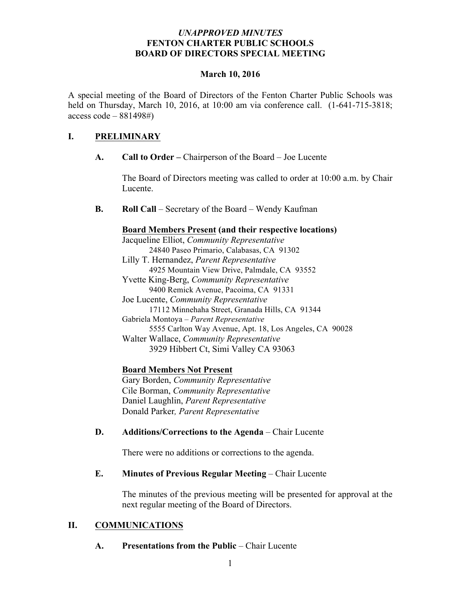### *UNAPPROVED MINUTES* **FENTON CHARTER PUBLIC SCHOOLS BOARD OF DIRECTORS SPECIAL MEETING**

### **March 10, 2016**

A special meeting of the Board of Directors of the Fenton Charter Public Schools was held on Thursday, March 10, 2016, at 10:00 am via conference call. (1-641-715-3818; access code – 881498#)

# **I. PRELIMINARY**

**A. Call to Order –** Chairperson of the Board – Joe Lucente

The Board of Directors meeting was called to order at 10:00 a.m. by Chair Lucente.

**B. Roll Call** – Secretary of the Board – Wendy Kaufman

### **Board Members Present (and their respective locations)**

Jacqueline Elliot, *Community Representative* 24840 Paseo Primario, Calabasas, CA 91302 Lilly T. Hernandez, *Parent Representative* 4925 Mountain View Drive, Palmdale, CA 93552 Yvette King-Berg, *Community Representative* 9400 Remick Avenue, Pacoima, CA 91331 Joe Lucente, *Community Representative* 17112 Minnehaha Street, Granada Hills, CA 91344 Gabriela Montoya – *Parent Representative* 5555 Carlton Way Avenue, Apt. 18, Los Angeles, CA 90028 Walter Wallace, *Community Representative* 3929 Hibbert Ct, Simi Valley CA 93063

# **Board Members Not Present**

Gary Borden, *Community Representative* Cile Borman, *Community Representative* Daniel Laughlin, *Parent Representative* Donald Parker*, Parent Representative*

# **D. Additions/Corrections to the Agenda** – Chair Lucente

There were no additions or corrections to the agenda.

# **E. Minutes of Previous Regular Meeting – Chair Lucente**

The minutes of the previous meeting will be presented for approval at the next regular meeting of the Board of Directors.

# **II. COMMUNICATIONS**

#### **A. Presentations from the Public** – Chair Lucente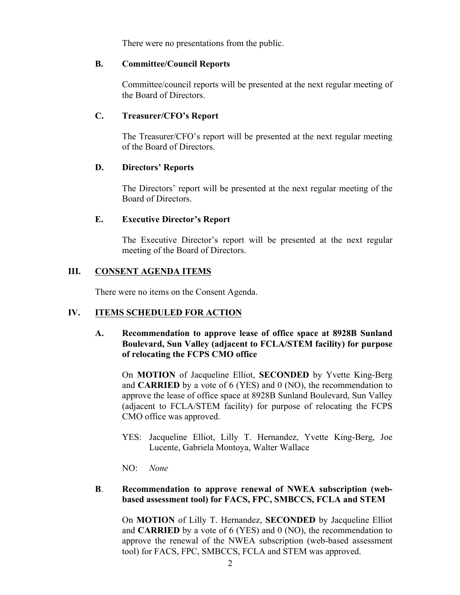There were no presentations from the public.

#### **B. Committee/Council Reports**

Committee/council reports will be presented at the next regular meeting of the Board of Directors.

#### **C. Treasurer/CFO's Report**

The Treasurer/CFO's report will be presented at the next regular meeting of the Board of Directors.

#### **D. Directors' Reports**

The Directors' report will be presented at the next regular meeting of the Board of Directors.

### **E. Executive Director's Report**

The Executive Director's report will be presented at the next regular meeting of the Board of Directors.

### **III. CONSENT AGENDA ITEMS**

There were no items on the Consent Agenda.

# **IV. ITEMS SCHEDULED FOR ACTION**

### **A. Recommendation to approve lease of office space at 8928B Sunland Boulevard, Sun Valley (adjacent to FCLA/STEM facility) for purpose of relocating the FCPS CMO office**

On **MOTION** of Jacqueline Elliot, **SECONDED** by Yvette King-Berg and **CARRIED** by a vote of 6 (YES) and 0 (NO), the recommendation to approve the lease of office space at 8928B Sunland Boulevard, Sun Valley (adjacent to FCLA/STEM facility) for purpose of relocating the FCPS CMO office was approved.

YES: Jacqueline Elliot, Lilly T. Hernandez, Yvette King-Berg, Joe Lucente, Gabriela Montoya, Walter Wallace

NO: *None*

#### **B**. **Recommendation to approve renewal of NWEA subscription (webbased assessment tool) for FACS, FPC, SMBCCS, FCLA and STEM**

On **MOTION** of Lilly T. Hernandez, **SECONDED** by Jacqueline Elliot and **CARRIED** by a vote of 6 (YES) and 0 (NO), the recommendation to approve the renewal of the NWEA subscription (web-based assessment tool) for FACS, FPC, SMBCCS, FCLA and STEM was approved.